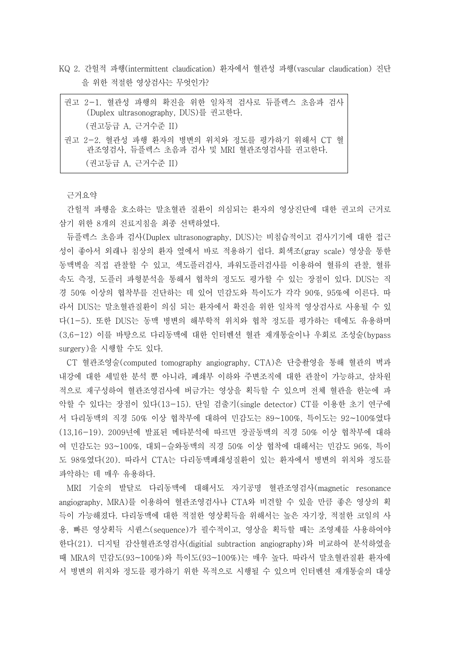KQ 2. 간헐적 파행(intermittent claudication) 환자에서 혈관성 파행(vascular claudication) 진단 을 위한 적절한 영상검사는 무엇인가?

| 권고 2-1. 혈관성 파행의 확진을 위한 일차적 검사로 듀플렉스 초음파 검사<br>(Duplex ultrasonography, DUS)를 권고한다.     |
|----------------------------------------------------------------------------------------|
| (권고등급 A. 근거수준 II)                                                                      |
| 권고 2-2. 혈관성 파행 화자의 병변의 위치와 정도를 평가하기 위해서 CT 혈<br>관조영검사. 듀플렉스 초음파 검사 및 MRI 혈관조영검사를 권고한다. |
| (권고등급 A. 근거수준 II)                                                                      |

근거요약

간헐적 파행을 호소하는 말초혈관 질환이 의심되는 환자의 영상진단에 대한 권고의 근거로

삼기 위한 8개의 진료지침을 최종 선택하였다.<br>- 듀플렉스 초음파 검사(Duplex ultrasonography, DUS)는 비침습적이고 검사기기에 대한 접근 성이 좋아서 외래나 침상의 환자 옆에서 바로 적용하기 쉽다. 회색조(gray scale) 영상을 통한 동맥벽을 직접 관찰할 수 있고, 색도플러검사, 파워도플러검사를 이용하여 혈류의 관찰, 혈류 속도 측정, 도플러 파형분석을 통해서 협착의 정도도 평가할 수 있는 장점이 있다. DUS는 직 경 50% 이상의 협착부를 진단하는 데 있어 민감도와 특이도가 각각 90%, 95%에 이른다. 따 라서 DUS는 말초혈관질환이 의심 되는 환자에서 확진을 위한 일차적 영상검사로 사용될 수 있 다(1-5). 또한 DUS는 동맥 병변의 해부학적 위치와 협착 정도를 평가하는 데에도 유용하며 (3,6-12) 이를 바탕으로 다리동맥에 대한 인터벤션 혈관 재개통술이나 우회로 조성술(bypass surgery)을 시행할 수도 있다.

CT 혈관조영술(computed tomography angiography, CTA)은 단층촬영을 통해 혈관의 벽과 내강에 대한 세밀한 분석 뿐 아니라, 폐쇄부 이하와 주변조직에 대한 관찰이 가능하고, 삼차원 적으로 재구성하여 혈관조영검사에 버금가는 영상을 획득할 수 있으며 전체 혈관을 한눈에 파 악할 수 있다는 장점이 있다(13-15). 단일 검출기(single detector) CT를 이용한 초기 연구에 서 다리동맥의 직경 50% 이상 협착부에 대하여 민감도는 89~100%, 특이도는 92~100%였다 (13,16-19). 2009년에 발표된 메타분석에 따르면 장골동맥의 직경 50% 이상 협착부에 대하 여 민감도는 93~100%, 대퇴-슬와동맥의 직경 50% 이상 협착에 대해서는 민감도 96%, 특이 도 98%였다(20). 따라서 CTA는 다리동맥폐쇄성질환이 있는 환자에서 병변의 위치와 정도를 파악하는 데 매우 유용하다.

MRI 기술의 발달로 다리동맥에 대해서도 자기공명 혈관조영검사(magnetic resonance angiography, MRA)를 이용하여 혈관조영검사나 CTA와 비견할 수 있을 만큼 좋은 영상의 획 득이 가능해졌다. 다리동맥에 대한 적절한 영상획득을 위해서는 높은 자기장, 적절한 코일의 사 용, 빠른 영상획득 시퀀스(sequence)가 필수적이고, 영상을 획득할 때는 조영제를 사용하여야 한다(21). 디지털 감산혈관조영검사(digitial subtraction angiography)와 비교하여 분석하였을 때 MRA의 민감도(93~100%)와 특이도(93~100%)는 매우 높다. 따라서 말초혈관질환 환자에 서 병변의 위치와 정도를 평가하기 위한 목적으로 시행될 수 있으며 인터벤션 재개통술의 대상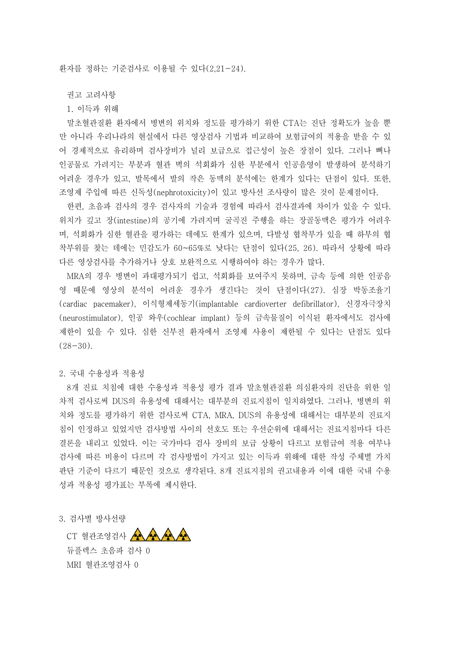환자를 정하는 기준검사로 이용될 수 있다(2,21-24).

권고 고려사항

1. 이득과 위해

말초혈관질환 환자에서 병변의 위치와 정도를 평가하기 위한 CTA는 진단 정확도가 높을 뿐 만 아니라 우리나라의 현실에서 다른 영상검사 기법과 비교하여 보험급여의 적용을 받을 수 있 어 경제적으로 유리하며 검사장비가 널리 보급으로 접근성이 높은 장점이 있다. 그러나 뼈나 인공물로 가려지는 부분과 혈관 벽의 석회화가 심한 부분에서 인공음영이 발생하여 분석하기 어려운 경우가 있고, 발목에서 발의 작은 동맥의 분석에는 한계가 있다는 단점이 있다. 또한,<br>조영제 주입에 따른 신독성(nephrotoxicity)이 있고 방사선 조사량이 많은 것이 문제점이다.

- 한편, 초음파 검사의 경우 검사자의 기술과 경험에 따라서 검사결과에 차이가 있을 수 있다.<br>위치가 깊고 장(intestine)의 공기에 가려지며 굴곡진 주행을 하는 장골동맥은 평가가 어려우 며, 석회화가 심한 혈관을 평가하는 데에도 한계가 있으며, 다발성 협착부가 있을 때 하부의 협 착부위를 찾는 데에는 민감도가 60~65%로 낮다는 단점이 있다(25, 26). 따라서 상황에 따라 다른 영상검사를 추가하거나 상호 보완적으로 시행하여야 하는 경우가 많다.<br>-<br>MRA의 경우 병변이 과대평가되기 쉽고, 석회화를 보여주지 못하며, 금속 등에 의한 인공음

영 때문에 영상의 분석이 어려운 경우가 생긴다는 것이 단점이다(27). 심장 박동조율기 (cardiac pacemaker), 이식형제세동기(implantable cardioverter defibrillator), 신경자극장치 (neurostimulator), 인공 와우(cochlear implant) 등의 금속물질이 이식된 환자에서도 검사에 제한이 있을 수 있다. 심한 신부전 환자에서 조영제 사용이 제한될 수 있다는 단점도 있다  $(28-30)$ .

## 2. 국내 수용성과 적용성

8개 진료 치침에 대한 수용성과 적용성 평가 결과 말초혈관질환 의심환자의 진단을 위한 일 차적 검사로써 DUS의 유용성에 대해서는 대부분의 진료지침이 일치하였다. 그러나, 병변의 위 치와 정도를 평가하기 위한 검사로써 CTA, MRA, DUS의 유용성에 대해서는 대부분의 진료지 침이 인정하고 있었지만 검사방법 사이의 선호도 또는 우선순위에 대해서는 진료지침마다 다른 결론을 내리고 있었다. 이는 국가마다 검사 장비의 보급 상황이 다르고 보험급여 적용 여부나 검사에 따른 비용이 다르며 각 검사방법이 가지고 있는 이득과 위해에 대한 작성 주체별 가치 판단 기준이 다르기 때문인 것으로 생각된다. 8개 진료지침의 권고내용과 이에 대한 국내 수용 성과 적용성 평가표는 부록에 제시한다.

3. 검사별 방사선량

CT 혈관조영검사 AAAAA 듀플렉스 초음파 검사 0 MRI 혈관조영검사 0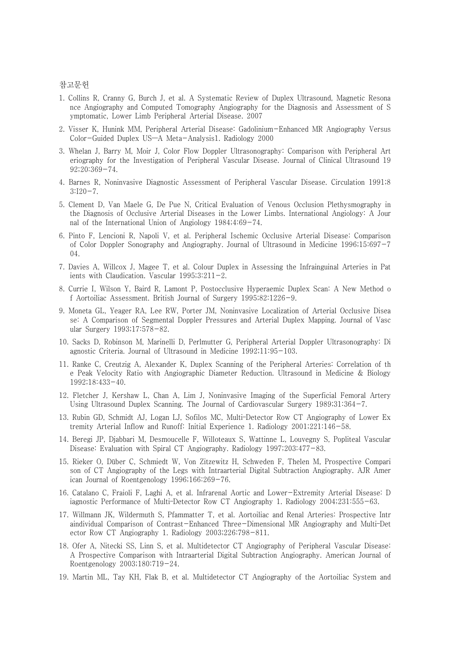## 참고문헌

- 1. Collins R, Cranny G, Burch J, et al. A Systematic Review of Duplex Ultrasound, Magnetic Resona nce Angiography and Computed Tomography Angiography for the Diagnosis and Assessment of S ymptomatic, Lower Limb Peripheral Arterial Disease. 2007
- 2. Visser K, Hunink MM, Peripheral Arterial Disease: Gadolinium-Enhanced MR Angiography Versus Color-Guided Duplex US—A Meta-Analysis1. Radiology 2000
- 3. Whelan J, Barry M, Moir J, Color Flow Doppler Ultrasonography: Comparison with Peripheral Art eriography for the Investigation of Peripheral Vascular Disease. Journal of Clinical Ultrasound 19 92;20:369-74.
- 4. Barnes R, Noninvasive Diagnostic Assessment of Peripheral Vascular Disease. Circulation 1991;8 3:I20-7.
- 5. Clement D, Van Maele G, De Pue N, Critical Evaluation of Venous Occlusion Plethysmography in the Diagnosis of Occlusive Arterial Diseases in the Lower Limbs. International Angiology: A Jour nal of the International Union of Angiology 1984;4:69-74.
- 6. Pinto F, Lencioni R, Napoli V, et al. Peripheral Ischemic Occlusive Arterial Disease: Comparison of Color Doppler Sonography and Angiography. Journal of Ultrasound in Medicine 1996;15:697-7  $04.$
- 7. Davies A, Willcox J, Magee T, et al. Colour Duplex in Assessing the Infrainguinal Arteries in Pat ients with Claudication. Vascular 1995;3:211-2.
- 8. Currie I, Wilson Y, Baird R, Lamont P, Postocclusive Hyperaemic Duplex Scan: A New Method o f Aortoiliac Assessment. British Journal of Surgery 1995;82:1226-9.
- 9. Moneta GL, Yeager RA, Lee RW, Porter JM, Noninvasive Localization of Arterial Occlusive Disea se: A Comparison of Segmental Doppler Pressures and Arterial Duplex Mapping. Journal of Vasc ular Surgery 1993;17:578-82.
- 10. Sacks D, Robinson M, Marinelli D, Perlmutter G, Peripheral Arterial Doppler Ultrasonography: Di agnostic Criteria. Journal of Ultrasound in Medicine 1992;11:95-103.
- 11. Ranke C, Creutzig A, Alexander K, Duplex Scanning of the Peripheral Arteries: Correlation of th e Peak Velocity Ratio with Angiographic Diameter Reduction. Ultrasound in Medicine & Biology 1992;18:433-40.
- 12. Fletcher J, Kershaw L, Chan A, Lim J, Noninvasive Imaging of the Superficial Femoral Artery Using Ultrasound Duplex Scanning. The Journal of Cardiovascular Surgery 1989;31:364-7.
- 13. Rubin GD, Schmidt AJ, Logan LJ, Sofilos MC, Multi–Detector Row CT Angiography of Lower Ex tremity Arterial Inflow and Runoff: Initial Experience 1. Radiology 2001;221:146-58.
- 14. Beregi JP, Djabbari M, Desmoucelle F, Willoteaux S, Wattinne L, Louvegny S, Popliteal Vascular Disease: Evaluation with Spiral CT Angiography. Radiology 1997;203:477-83.
- 15. Rieker O, Düber C, Schmiedt W, Von Zitzewitz H, Schweden F, Thelen M, Prospective Compari son of CT Angiography of the Legs with Intraarterial Digital Subtraction Angiography. AJR Amer ican Journal of Roentgenology 1996;166:269-76.
- 16. Catalano C, Fraioli F, Laghi A, et al. Infrarenal Aortic and Lower-Extremity Arterial Disease: D iagnostic Performance of Multi–Detector Row CT Angiography 1. Radiology 2004;231:555-63.
- 17. Willmann JK, Wildermuth S, Pfammatter T, et al. Aortoiliac and Renal Arteries: Prospective Intr aindividual Comparison of Contrast-Enhanced Three-Dimensional MR Angiography and Multi–Det ector Row CT Angiography 1. Radiology 2003;226:798-811.
- 18. Ofer A, Nitecki SS, Linn S, et al. Multidetector CT Angiography of Peripheral Vascular Disease: A Prospective Comparison with Intraarterial Digital Subtraction Angiography. American Journal of Roentgenology 2003;180:719-24.
- 19. Martin ML, Tay KH, Flak B, et al. Multidetector CT Angiography of the Aortoiliac System and